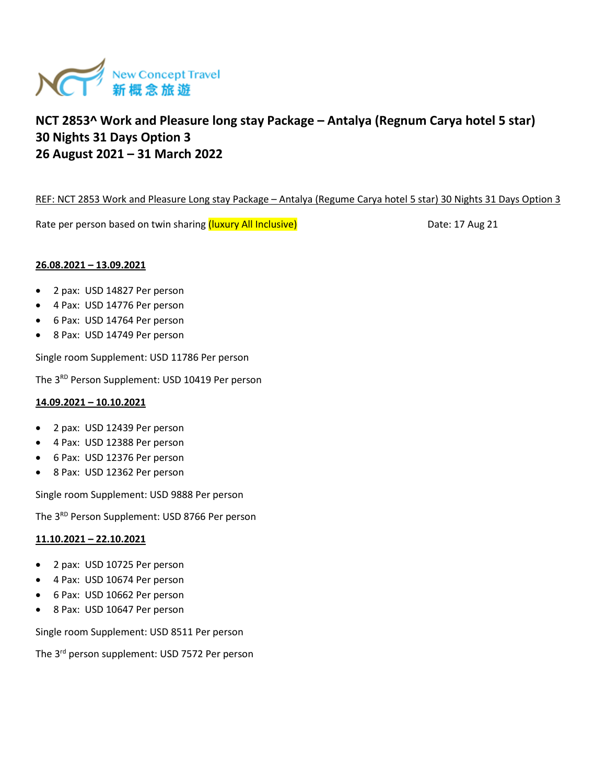

### REF: NCT 2853 Work and Pleasure Long stay Package – Antalya (Regume Carya hotel 5 star) 30 Nights 31 Days Option 3

Rate per person based on twin sharing (luxury All Inclusive) **Example 20** Date: 17 Aug 21

# **26.08.2021 – 13.09.2021**

- 2 pax: USD 14827 Per person
- 4 Pax: USD 14776 Per person
- 6 Pax: USD 14764 Per person
- 8 Pax: USD 14749 Per person

Single room Supplement: USD 11786 Per person

The 3<sup>RD</sup> Person Supplement: USD 10419 Per person

# **14.09.2021 – 10.10.2021**

- 2 pax: USD 12439 Per person
- 4 Pax: USD 12388 Per person
- 6 Pax: USD 12376 Per person
- 8 Pax: USD 12362 Per person

Single room Supplement: USD 9888 Per person

The 3<sup>RD</sup> Person Supplement: USD 8766 Per person

# **11.10.2021 – 22.10.2021**

- 2 pax: USD 10725 Per person
- 4 Pax: USD 10674 Per person
- 6 Pax: USD 10662 Per person
- 8 Pax: USD 10647 Per person

Single room Supplement: USD 8511 Per person

The 3rd person supplement: USD 7572 Per person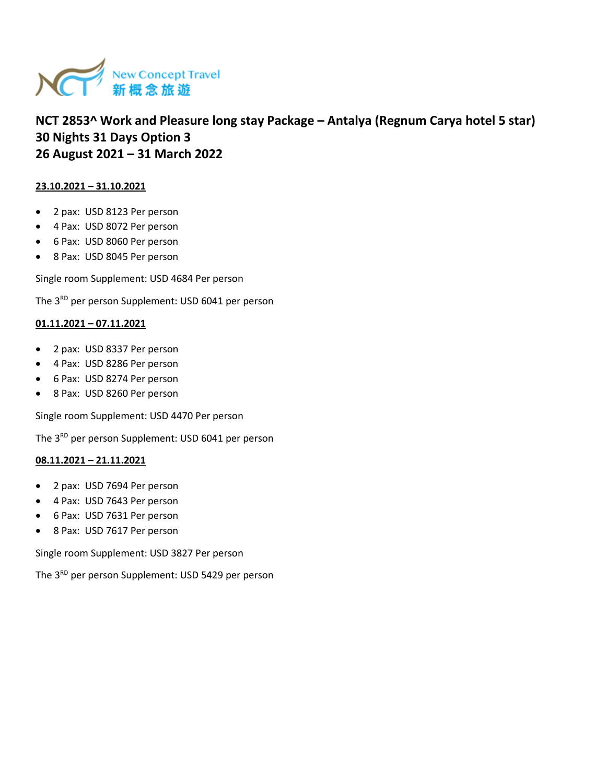

# **23.10.2021 – 31.10.2021**

- 2 pax: USD 8123 Per person
- 4 Pax: USD 8072 Per person
- 6 Pax: USD 8060 Per person
- 8 Pax: USD 8045 Per person

Single room Supplement: USD 4684 Per person

The 3<sup>RD</sup> per person Supplement: USD 6041 per person

# **01.11.2021 – 07.11.2021**

- 2 pax: USD 8337 Per person
- 4 Pax: USD 8286 Per person
- 6 Pax: USD 8274 Per person
- 8 Pax: USD 8260 Per person

Single room Supplement: USD 4470 Per person

The 3<sup>RD</sup> per person Supplement: USD 6041 per person

# **08.11.2021 – 21.11.2021**

- 2 pax: USD 7694 Per person
- 4 Pax: USD 7643 Per person
- 6 Pax: USD 7631 Per person
- 8 Pax: USD 7617 Per person

Single room Supplement: USD 3827 Per person

The 3<sup>RD</sup> per person Supplement: USD 5429 per person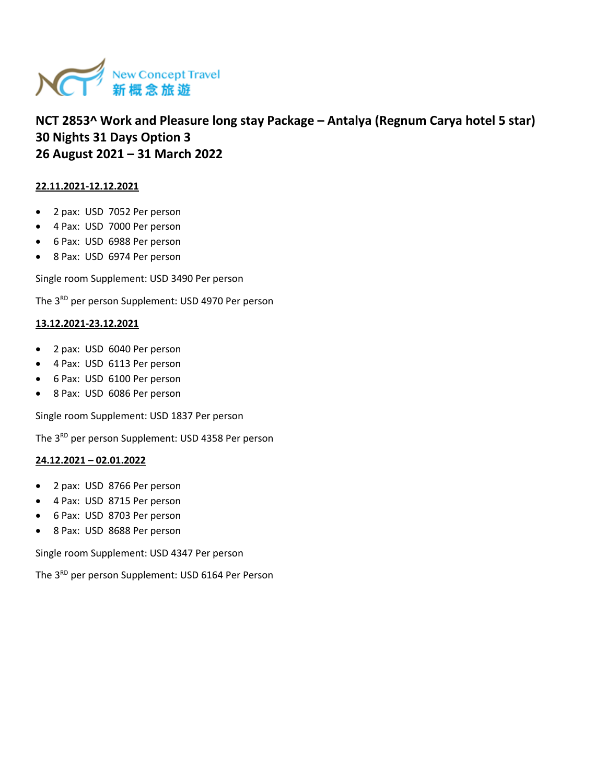

# **22.11.2021-12.12.2021**

- 2 pax: USD 7052 Per person
- 4 Pax: USD 7000 Per person
- 6 Pax: USD 6988 Per person
- 8 Pax: USD 6974 Per person

Single room Supplement: USD 3490 Per person

The 3<sup>RD</sup> per person Supplement: USD 4970 Per person

### **13.12.2021-23.12.2021**

- 2 pax: USD 6040 Per person
- 4 Pax: USD 6113 Per person
- 6 Pax: USD 6100 Per person
- 8 Pax: USD 6086 Per person

Single room Supplement: USD 1837 Per person

The 3<sup>RD</sup> per person Supplement: USD 4358 Per person

#### **24.12.2021 – 02.01.2022**

- 2 pax: USD 8766 Per person
- 4 Pax: USD 8715 Per person
- 6 Pax: USD 8703 Per person
- 8 Pax: USD 8688 Per person

Single room Supplement: USD 4347 Per person

The 3<sup>RD</sup> per person Supplement: USD 6164 Per Person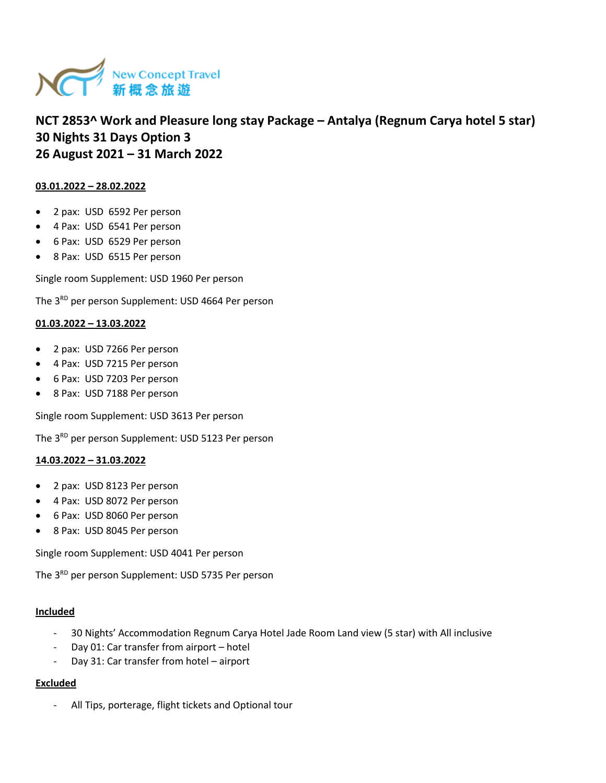

# **03.01.2022 – 28.02.2022**

- 2 pax: USD 6592 Per person
- 4 Pax: USD 6541 Per person
- 6 Pax: USD 6529 Per person
- 8 Pax: USD 6515 Per person

Single room Supplement: USD 1960 Per person

The 3<sup>RD</sup> per person Supplement: USD 4664 Per person

#### **01.03.2022 – 13.03.2022**

- 2 pax: USD 7266 Per person
- 4 Pax: USD 7215 Per person
- 6 Pax: USD 7203 Per person
- 8 Pax: USD 7188 Per person

Single room Supplement: USD 3613 Per person

The 3<sup>RD</sup> per person Supplement: USD 5123 Per person

#### **14.03.2022 – 31.03.2022**

- 2 pax: USD 8123 Per person
- 4 Pax: USD 8072 Per person
- 6 Pax: USD 8060 Per person
- 8 Pax: USD 8045 Per person

Single room Supplement: USD 4041 Per person

The 3<sup>RD</sup> per person Supplement: USD 5735 Per person

#### **Included**

- 30 Nights' Accommodation Regnum Carya Hotel Jade Room Land view (5 star) with All inclusive
- Day 01: Car transfer from airport hotel
- Day 31: Car transfer from hotel airport

# **Excluded**

All Tips, porterage, flight tickets and Optional tour